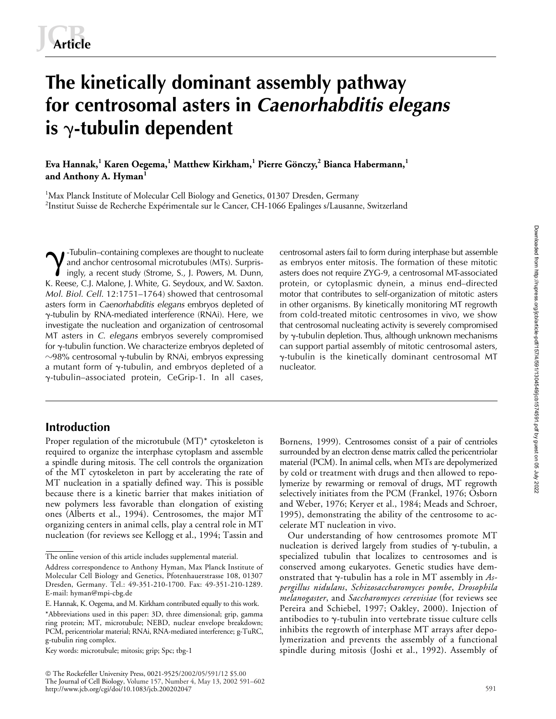# **The kinetically dominant assembly pathway for centrosomal asters in** *Caenorhabditis elegans* is  $\gamma$ -tubulin dependent

**Eva Hannak,<sup>1</sup> Karen Oegema,<sup>1</sup> Matthew Kirkham,<sup>1</sup> Pierre Gönczy,<sup>2</sup> Bianca Habermann,<sup>1</sup> and Anthony A. Hyman<sup>1</sup>**

<sup>1</sup>Max Planck Institute of Molecular Cell Biology and Genetics, 01307 Dresden, Germany 2 Institut Suisse de Recherche Expérimentale sur le Cancer, CH-1066 Epalinges s/Lausanne, Switzerland

-Tubulin–containing complexes are thought to nucleate and anchor centrosomal microtubules (MTs). Surprisingly, a recent study (Strome, S., J. Powers, M. Dunn, K. Reese, C.J. Malone, J. White, G. Seydoux, and W. Saxton. *Mol*. *Biol*. *Cell*. 12:1751–1764) showed that centrosomal asters form in *Caenorhabditis elegans* embryos depleted of --tubulin by RNA-mediated interference (RNAi). Here, we investigate the nucleation and organization of centrosomal MT asters in *C*. *elegans* embryos severely compromised for  $\gamma$ -tubulin function. We characterize embryos depleted of  $\sim$ 98% centrosomal  $\gamma$ -tubulin by RNAi, embryos expressing a mutant form of  $\gamma$ -tubulin, and embryos depleted of a --tubulin–associated protein, CeGrip-1. In all cases,  $\gamma$  $\gamma$ -Tubulin–containing complexes are thought to nucleate centrosomal asters fail to form during interphase but assemble<br>and anchor centrosomal microtubules (MTs). Surpris- as embryos enter mitosis. The formation of these

## **Introduction**

Proper regulation of the microtubule (MT)\* cytoskeleton is required to organize the interphase cytoplasm and assemble a spindle during mitosis. The cell controls the organization of the MT cytoskeleton in part by accelerating the rate of MT nucleation in a spatially defined way. This is possible because there is a kinetic barrier that makes initiation of new polymers less favorable than elongation of existing ones (Alberts et al., 1994). Centrosomes, the major MT organizing centers in animal cells, play a central role in MT nucleation (for reviews see Kellogg et al., 1994; Tassin and

Key words: microtubule; mitosis; grip; Spc; tbg-1

 The Rockefeller University Press, 0021-9525/2002/05/591/12 \$5.00 The Journal of Cell Biology, Volume 157, Number 4, May 13, 2002 591–602 http://www.jcb.org/cgi/doi/10.1083/jcb.200202047

asters does not require ZYG-9, a centrosomal MT-associated protein, or cytoplasmic dynein, a minus end–directed motor that contributes to self-organization of mitotic asters in other organisms. By kinetically monitoring MT regrowth from cold-treated mitotic centrosomes in vivo, we show that centrosomal nucleating activity is severely compromised by  $\gamma$ -tubulin depletion. Thus, although unknown mechanisms can support partial assembly of mitotic centrosomal asters,  $\gamma$ -tubulin is the kinetically dominant centrosomal MT nucleator.

Bornens, 1999). Centrosomes consist of a pair of centrioles surrounded by an electron dense matrix called the pericentriolar material (PCM). In animal cells, when MTs are depolymerized by cold or treatment with drugs and then allowed to repolymerize by rewarming or removal of drugs, MT regrowth selectively initiates from the PCM (Frankel, 1976; Osborn and Weber, 1976; Keryer et al., 1984; Meads and Schroer, 1995), demonstrating the ability of the centrosome to accelerate MT nucleation in vivo.

Our understanding of how centrosomes promote MT nucleation is derived largely from studies of  $\gamma$ -tubulin, a specialized tubulin that localizes to centrosomes and is conserved among eukaryotes. Genetic studies have demonstrated that γ-tubulin has a role in MT assembly in *Aspergillus nidulans*, *Schizosaccharomyces pombe*, *Drosophila melanogaster*, and *Saccharomyces cerevisiae* (for reviews see Pereira and Schiebel, 1997; Oakley, 2000). Injection of antibodies to  $\gamma$ -tubulin into vertebrate tissue culture cells inhibits the regrowth of interphase MT arrays after depolymerization and prevents the assembly of a functional spindle during mitosis (Joshi et al., 1992). Assembly of

The online version of this article includes supplemental material.

Address correspondence to Anthony Hyman, Max Planck Institute of Molecular Cell Biology and Genetics, Pfotenhauerstrasse 108, 01307 Dresden, Germany. Tel.: 49-351-210-1700. Fax: 49-351-210-1289. E-mail: hyman@mpi-cbg.de

E. Hannak, K. Oegema, and M. Kirkham contributed equally to this work.

<sup>\*</sup>Abbreviations used in this paper: 3D, three dimensional; grip, gamma ring protein; MT, microtubule; NEBD, nuclear envelope breakdown; PCM, pericentriolar material; RNAi, RNA-mediated interference; g-TuRC, g-tubulin ring complex.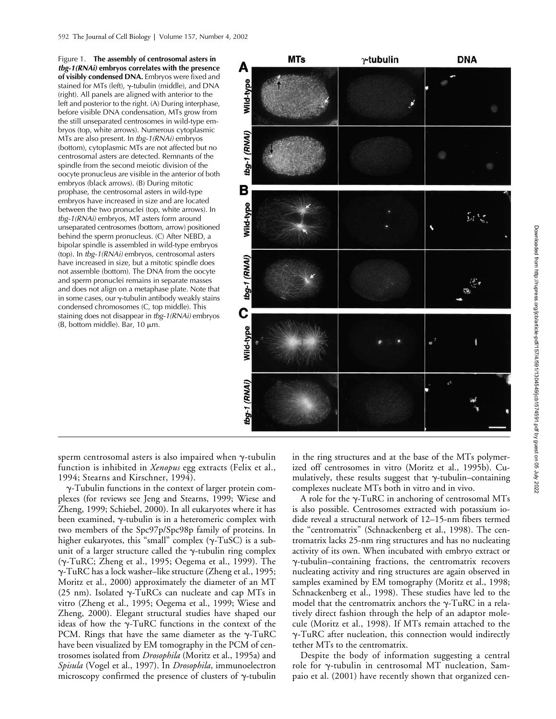Figure 1. **The assembly of centrosomal asters in**  *tbg-1(RNAi)* **embryos correlates with the presence of visibly condensed DNA.** Embryos were fixed and stained for MTs (left),  $\gamma$ -tubulin (middle), and DNA (right). All panels are aligned with anterior to the left and posterior to the right. (A) During interphase, before visible DNA condensation, MTs grow from the still unseparated centrosomes in wild-type embryos (top, white arrows). Numerous cytoplasmic MTs are also present. In *tbg-1(RNAi)* embryos (bottom), cytoplasmic MTs are not affected but no centrosomal asters are detected. Remnants of the spindle from the second meiotic division of the oocyte pronucleus are visible in the anterior of both embryos (black arrows). (B) During mitotic prophase, the centrosomal asters in wild-type embryos have increased in size and are located between the two pronuclei (top, white arrows). In *tbg-1(RNAi)* embryos, MT asters form around unseparated centrosomes (bottom, arrow) positioned behind the sperm pronucleus. (C) After NEBD, a bipolar spindle is assembled in wild-type embryos (top). In *tbg-1(RNAi)* embryos, centrosomal asters have increased in size, but a mitotic spindle does not assemble (bottom). The DNA from the oocyte and sperm pronuclei remains in separate masses and does not align on a metaphase plate. Note that in some cases, our  $\gamma$ -tubulin antibody weakly stains condensed chromosomes (C, top middle). This staining does not disappear in *tbg-1(RNAi)* embryos  $(B, bottom middle)$ . Bar, 10  $\mu$ m.



sperm centrosomal asters is also impaired when  $\gamma$ -tubulin function is inhibited in *Xenopus* egg extracts (Felix et al., 1994; Stearns and Kirschner, 1994).

--Tubulin functions in the context of larger protein complexes (for reviews see Jeng and Stearns, 1999; Wiese and Zheng, 1999; Schiebel, 2000). In all eukaryotes where it has been examined,  $\gamma$ -tubulin is in a heteromeric complex with two members of the Spc97p/Spc98p family of proteins. In higher eukaryotes, this "small" complex ( $\gamma$ -TuSC) is a subunit of a larger structure called the  $\gamma$ -tubulin ring complex (γ-TuRC; Zheng et al., 1995; Oegema et al., 1999). The --TuRC has a lock washer–like structure (Zheng et al., 1995; Moritz et al., 2000) approximately the diameter of an MT (25 nm). Isolated  $\gamma$ -TuRCs can nucleate and cap MTs in vitro (Zheng et al., 1995; Oegema et al., 1999; Wiese and Zheng, 2000). Elegant structural studies have shaped our ideas of how the  $\gamma$ -TuRC functions in the context of the PCM. Rings that have the same diameter as the  $\gamma$ -TuRC have been visualized by EM tomography in the PCM of centrosomes isolated from *Drosophila* (Moritz et al., 1995a) and *Spisula* (Vogel et al., 1997). In *Drosophila*, immunoelectron microscopy confirmed the presence of clusters of  $\gamma$ -tubulin

in the ring structures and at the base of the MTs polymerized off centrosomes in vitro (Moritz et al., 1995b). Cumulatively, these results suggest that  $\gamma$ -tubulin–containing complexes nucleate MTs both in vitro and in vivo.

A role for the  $\gamma$ -TuRC in anchoring of centrosomal MTs is also possible. Centrosomes extracted with potassium iodide reveal a structural network of 12–15-nm fibers termed the "centromatrix" (Schnackenberg et al., 1998). The centromatrix lacks 25-nm ring structures and has no nucleating activity of its own. When incubated with embryo extract or --tubulin–containing fractions, the centromatrix recovers nucleating activity and ring structures are again observed in samples examined by EM tomography (Moritz et al., 1998; Schnackenberg et al., 1998). These studies have led to the model that the centromatrix anchors the  $\gamma$ -TuRC in a relatively direct fashion through the help of an adaptor molecule (Moritz et al., 1998). If MTs remain attached to the --TuRC after nucleation, this connection would indirectly tether MTs to the centromatrix.

Despite the body of information suggesting a central role for y-tubulin in centrosomal MT nucleation, Sampaio et al. (2001) have recently shown that organized cen-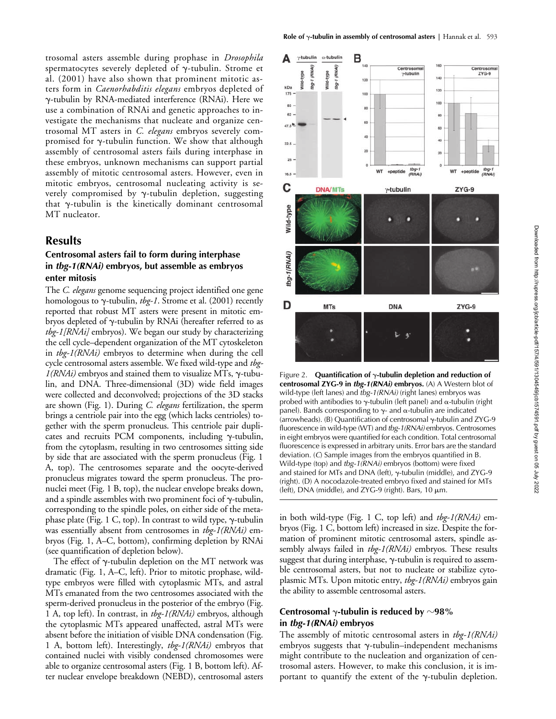trosomal asters assemble during prophase in *Drosophila* spermatocytes severely depleted of  $\gamma$ -tubulin. Strome et al. (2001) have also shown that prominent mitotic asters form in *Caenorhabditis elegans* embryos depleted of --tubulin by RNA-mediated interference (RNAi). Here we use a combination of RNAi and genetic approaches to investigate the mechanisms that nucleate and organize centrosomal MT asters in *C. elegans* embryos severely compromised for  $\gamma$ -tubulin function. We show that although assembly of centrosomal asters fails during interphase in these embryos, unknown mechanisms can support partial assembly of mitotic centrosomal asters. However, even in mitotic embryos, centrosomal nucleating activity is severely compromised by  $\gamma$ -tubulin depletion, suggesting that  $\gamma$ -tubulin is the kinetically dominant centrosomal MT nucleator.

## **Results**

## **Centrosomal asters fail to form during interphase in** *tbg-1(RNAi)* **embryos, but assemble as embryos enter mitosis**

The *C. elegans* genome sequencing project identified one gene homologous to  $\gamma$ -tubulin, *tbg-1*. Strome et al. (2001) recently reported that robust MT asters were present in mitotic embryos depleted of  $\gamma$ -tubulin by RNAi (hereafter referred to as *tbg-1[RNAi]* embryos). We began our study by characterizing the cell cycle–dependent organization of the MT cytoskeleton in *tbg-1(RNAi)* embryos to determine when during the cell cycle centrosomal asters assemble. We fixed wild-type and *tbg-* $1(RNAi)$  embryos and stained them to visualize MTs,  $\gamma$ -tubulin, and DNA. Three-dimensional (3D) wide field images were collected and deconvolved; projections of the 3D stacks are shown (Fig. 1). During *C. elegans* fertilization, the sperm brings a centriole pair into the egg (which lacks centrioles) together with the sperm pronucleus. This centriole pair duplicates and recruits PCM components, including  $\gamma$ -tubulin, from the cytoplasm, resulting in two centrosomes sitting side by side that are associated with the sperm pronucleus (Fig. 1 A, top). The centrosomes separate and the oocyte-derived pronucleus migrates toward the sperm pronucleus. The pronuclei meet (Fig. 1 B, top), the nuclear envelope breaks down, and a spindle assembles with two prominent foci of  $\gamma$ -tubulin, corresponding to the spindle poles, on either side of the metaphase plate (Fig. 1 C, top). In contrast to wild type,  $\gamma$ -tubulin was essentially absent from centrosomes in *tbg-1(RNAi)* embryos (Fig. 1, A–C, bottom), confirming depletion by RNAi (see quantification of depletion below).

The effect of  $\gamma$ -tubulin depletion on the MT network was dramatic (Fig. 1, A–C, left). Prior to mitotic prophase, wildtype embryos were filled with cytoplasmic MTs, and astral MTs emanated from the two centrosomes associated with the sperm-derived pronucleus in the posterior of the embryo (Fig. 1 A, top left). In contrast, in *tbg-1(RNAi)* embryos, although the cytoplasmic MTs appeared unaffected, astral MTs were absent before the initiation of visible DNA condensation (Fig. 1 A, bottom left). Interestingly, *tbg-1(RNAi)* embryos that contained nuclei with visibly condensed chromosomes were able to organize centrosomal asters (Fig. 1 B, bottom left). After nuclear envelope breakdown (NEBD), centrosomal asters



Figure 2. **Quantification of**  $\gamma$ **-tubulin depletion and reduction of centrosomal ZYG-9 in** *tbg-1(RNAi)* **embryos.** (A) A Western blot of wild-type (left lanes) and *tbg-1(RNAi)* (right lanes) embryos was probed with antibodies to  $\gamma$ -tubulin (left panel) and  $\alpha$ -tubulin (right panel). Bands corresponding to  $\gamma$ - and  $\alpha$ -tubulin are indicated (arrowheads). (B) Quantification of centrosomal  $\gamma$ -tubulin and ZYG-9 fluorescence in wild-type (WT) and *tbg-1(RNAi)* embryos. Centrosomes in eight embryos were quantified for each condition. Total centrosomal fluorescence is expressed in arbitrary units. Error bars are the standard deviation. (*C*) Sample images from the embryos quantified in B. Wild-type (top) and *tbg-1(RNAi)* embryos (bottom) were fixed and stained for MTs and DNA (left),  $\gamma$ -tubulin (middle), and ZYG-9 (right). (D) A nocodazole-treated embryo fixed and stained for MTs (left), DNA (middle), and ZYG-9 (right). Bars,  $10 \mu m$ .

in both wild-type (Fig. 1 C, top left) and *tbg-1(RNAi)* embryos (Fig. 1 C, bottom left) increased in size. Despite the formation of prominent mitotic centrosomal asters, spindle assembly always failed in *tbg-1(RNAi)* embryos. These results suggest that during interphase,  $\gamma$ -tubulin is required to assemble centrosomal asters, but not to nucleate or stabilize cytoplasmic MTs. Upon mitotic entry, *tbg-1(RNAi)* embryos gain the ability to assemble centrosomal asters.

#### Centrosomal  $\gamma$ -tubulin is reduced by  $\sim$ 98% **in** *tbg-1(RNAi)* **embryos**

The assembly of mitotic centrosomal asters in *tbg-1(RNAi)* embryos suggests that  $\gamma$ -tubulin–independent mechanisms might contribute to the nucleation and organization of centrosomal asters. However, to make this conclusion, it is important to quantify the extent of the  $\gamma$ -tubulin depletion.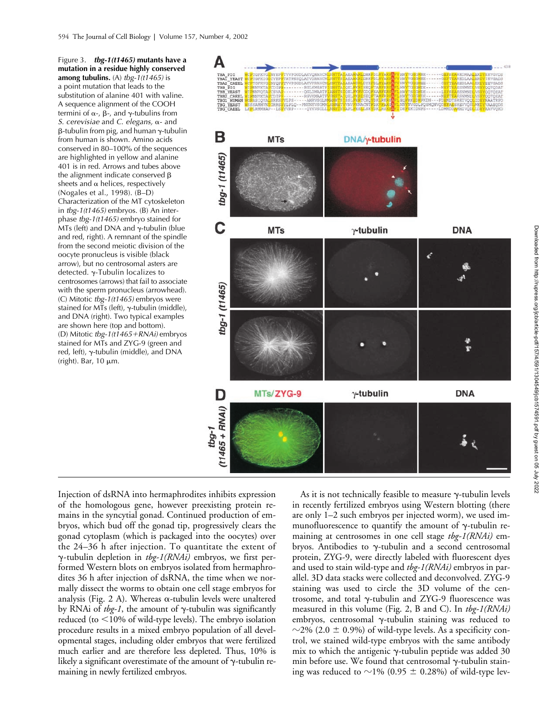Figure 3. *tbg-1(t1465)* **mutants have a mutation in a residue highly conserved among tubulins.** (A) *tbg-1(t1465)* is a point mutation that leads to the substitution of alanine 401 with valine. A sequence alignment of the COOH termini of  $\alpha$ -,  $\beta$ -, and  $\gamma$ -tubulins from *S. cerevisiae* and *C. elegans*,  $\alpha$ - and β-tubulin from pig, and human  $\gamma$ -tubulin from human is shown. Amino acids conserved in 80–100% of the sequences are highlighted in yellow and alanine 401 is in red. Arrows and tubes above the alignment indicate conserved  $\beta$ sheets and  $\alpha$  helices, respectively (Nogales et al., 1998). (B–D) Characterization of the MT cytoskeleton in *tbg-1(t1465)* embryos. (B) An interphase *tbg-1(t1465)* embryo stained for MTs (left) and DNA and  $\gamma$ -tubulin (blue and red, right). A remnant of the spindle from the second meiotic division of the oocyte pronucleus is visible (black arrow), but no centrosomal asters are detected.  $\gamma$ -Tubulin localizes to centrosomes (arrows) that fail to associate with the sperm pronucleus (arrowhead). (C) Mitotic *tbg-1(t1465)* embryos were stained for MTs (left),  $\gamma$ -tubulin (middle), and DNA (right). Two typical examples are shown here (top and bottom). (D) Mitotic *tbg-1(t1465RNAi)* embryos stained for MTs and ZYG-9 (green and red, left),  $\gamma$ -tubulin (middle), and DNA (right). Bar,  $10 \mu m$ .



Downloaded from http://rupress.org/jcb/article-pdf/157/4/591/1304549/jcb1574591.pdf by guest on 05 July 2022 Downloaded from http://rupress.org/jcb/article-pdf/157/4/591/1304549/jcb1574591.pdf by guest on 05 July 2022

Injection of dsRNA into hermaphrodites inhibits expression of the homologous gene, however preexisting protein remains in the syncytial gonad. Continued production of embryos, which bud off the gonad tip, progressively clears the gonad cytoplasm (which is packaged into the oocytes) over the 24–36 h after injection. To quantitate the extent of --tubulin depletion in *tbg-1(RNAi)* embryos, we first performed Western blots on embryos isolated from hermaphrodites 36 h after injection of dsRNA, the time when we normally dissect the worms to obtain one cell stage embryos for analysis (Fig. 2 A). Whereas  $\alpha$ -tubulin levels were unaltered by RNAi of  $tbg-1$ , the amount of  $\gamma$ -tubulin was significantly reduced (to <10% of wild-type levels). The embryo isolation procedure results in a mixed embryo population of all developmental stages, including older embryos that were fertilized much earlier and are therefore less depleted. Thus, 10% is likely a significant overestimate of the amount of  $\gamma$ -tubulin remaining in newly fertilized embryos.

As it is not technically feasible to measure  $\gamma$ -tubulin levels in recently fertilized embryos using Western blotting (there are only 1–2 such embryos per injected worm), we used immunofluorescence to quantify the amount of  $\gamma$ -tubulin remaining at centrosomes in one cell stage *tbg-1(RNAi)* embryos. Antibodies to  $\gamma$ -tubulin and a second centrosomal protein, ZYG-9, were directly labeled with fluorescent dyes and used to stain wild-type and *tbg-1(RNAi)* embryos in parallel. 3D data stacks were collected and deconvolved. ZYG-9 staining was used to circle the 3D volume of the centrosome, and total  $\gamma$ -tubulin and ZYG-9 fluorescence was measured in this volume (Fig. 2, B and C). In *tbg-1(RNAi)* embryos, centrosomal y-tubulin staining was reduced to  $\sim$ 2% (2.0  $\pm$  0.9%) of wild-type levels. As a specificity control, we stained wild-type embryos with the same antibody mix to which the antigenic  $\gamma$ -tubulin peptide was added 30 min before use. We found that centrosomal  $\gamma$ -tubulin staining was reduced to  $\sim$ 1% (0.95  $\pm$  0.28%) of wild-type lev-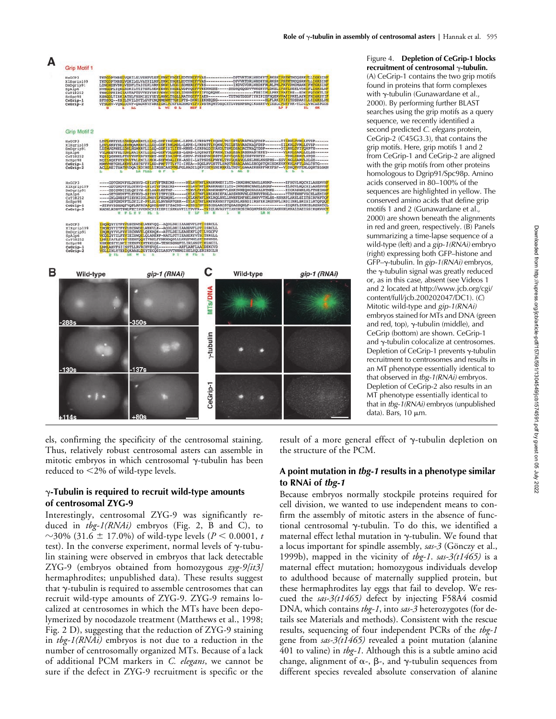



Figure 4. **Depletion of CeGrip-1 blocks**  recruitment of centrosomal  $\gamma$ -tubulin. (A) CeGrip-1 contains the two grip motifs found in proteins that form complexes with  $\gamma$ -tubulin (Gunawardane et al., 2000). By performing further BLAST searches using the grip motifs as a query sequence, we recently identified a second predicted *C. elegans* protein, CeGrip-2 (C45G3.3), that contains the grip motifs. Here, grip motifs 1 and 2 from CeGrip-1 and CeGrip-2 are aligned with the grip motifs from other proteins homologous to Dgrip91/Spc98p. Amino acids conserved in 80–100% of the sequences are highlighted in yellow. The conserved amino acids that define grip motifs 1 and 2 (Gunawardane et al., 2000) are shown beneath the alignments in red and green, respectively. (B) Panels summarizing a time-lapse sequence of a wild-type (left) and a *gip-1(RNAi)* embryo (right) expressing both GFP–histone and GFP-γ-tubulin. In *gip-1(RNAi)* embryos, the  $\gamma$ -tubulin signal was greatly reduced or, as in this case, absent (see Videos 1 and 2 located at http://www.jcb.org/cgi/ content/full/jcb.200202047/DC1). (*C*) Mitotic wild-type and *gip-1(RNAi)* embryos stained for MTs and DNA (green and red, top),  $\gamma$ -tubulin (middle), and CeGrip (bottom) are shown. CeGrip-1 and  $\gamma$ -tubulin colocalize at centrosomes. Depletion of CeGrip-1 prevents  $\gamma$ -tubulin recruitment to centrosomes and results in an MT phenotype essentially identical to that observed in *tbg-1(RNAi)* embryos. Depletion of CeGrip-2 also results in an MT phenotype essentially identical to that in *tbg-1(RNAi)* embryos (unpublished data). Bars,  $10 \mu m$ .

els, confirming the specificity of the centrosomal staining. Thus, relatively robust centrosomal asters can assemble in mitotic embryos in which centrosomal  $\gamma$ -tubulin has been reduced to  $\leq$ 2% of wild-type levels.

## -**-Tubulin is required to recruit wild-type amounts of centrosomal ZYG-9**

Interestingly, centrosomal ZYG-9 was significantly reduced in *tbg-1(RNAi)* embryos (Fig. 2, B and C), to  $\sim$ 30% (31.6  $\pm$  17.0%) of wild-type levels (*P* < 0.0001, *t* test). In the converse experiment, normal levels of  $\gamma$ -tubulin staining were observed in embryos that lack detectable ZYG-9 (embryos obtained from homozygous *zyg-9[it3]* hermaphrodites; unpublished data). These results suggest that  $\gamma$ -tubulin is required to assemble centrosomes that can recruit wild-type amounts of ZYG-9. ZYG-9 remains localized at centrosomes in which the MTs have been depolymerized by nocodazole treatment (Matthews et al., 1998; Fig. 2 D), suggesting that the reduction of ZYG-9 staining in *tbg-1(RNAi)* embryos is not due to a reduction in the number of centrosomally organized MTs. Because of a lack of additional PCM markers in *C. elegans*, we cannot be sure if the defect in ZYG-9 recruitment is specific or the

result of a more general effect of  $\gamma$ -tubulin depletion on the structure of the PCM.

## **A point mutation in** *tbg-1* **results in a phenotype similar to RNAi of** *tbg-1*

Because embryos normally stockpile proteins required for cell division, we wanted to use independent means to confirm the assembly of mitotic asters in the absence of functional centrosomal γ-tubulin. To do this, we identified a maternal effect lethal mutation in  $\gamma$ -tubulin. We found that a locus important for spindle assembly, *sas-3* (Gönczy et al., 1999b), mapped in the vicinity of *tbg-1*. *sas-3(t1465)* is a maternal effect mutation; homozygous individuals develop to adulthood because of maternally supplied protein, but these hermaphrodites lay eggs that fail to develop. We rescued the *sas-3(t1465)* defect by injecting F58A4 cosmid DNA, which contains *tbg-1*, into *sas-3* heterozygotes (for details see Materials and methods). Consistent with the rescue results, sequencing of four independent PCRs of the *tbg-1* gene from *sas-3(t1465)* revealed a point mutation (alanine 401 to valine) in *tbg-1*. Although this is a subtle amino acid change, alignment of  $\alpha$ -,  $\beta$ -, and  $\gamma$ -tubulin sequences from different species revealed absolute conservation of alanine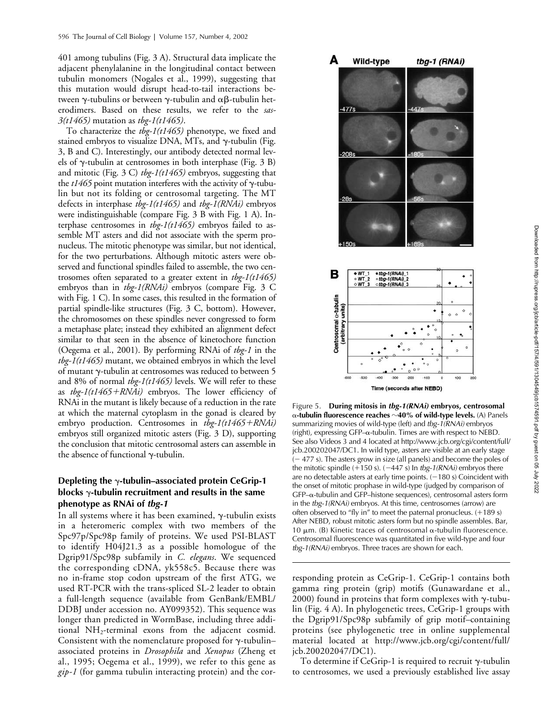401 among tubulins (Fig. 3 A). Structural data implicate the adjacent phenylalanine in the longitudinal contact between tubulin monomers (Nogales et al., 1999), suggesting that this mutation would disrupt head-to-tail interactions between  $\gamma$ -tubulins or between  $\gamma$ -tubulin and  $\alpha\beta$ -tubulin heterodimers. Based on these results, we refer to the *sas-3(t1465)* mutation as *tbg-1(t1465)*.

To characterize the *tbg-1(t1465)* phenotype, we fixed and stained embryos to visualize DNA, MTs, and  $\gamma$ -tubulin (Fig. 3, B and C). Interestingly, our antibody detected normal levels of  $\gamma$ -tubulin at centrosomes in both interphase (Fig. 3 B) and mitotic (Fig. 3 C) *tbg-1(t1465)* embryos, suggesting that the  $t1465$  point mutation interferes with the activity of  $\gamma$ -tubulin but not its folding or centrosomal targeting. The MT defects in interphase *tbg-1(t1465)* and *tbg-1(RNAi)* embryos were indistinguishable (compare Fig. 3 B with Fig. 1 A). Interphase centrosomes in *tbg-1(t1465)* embryos failed to assemble MT asters and did not associate with the sperm pronucleus. The mitotic phenotype was similar, but not identical, for the two perturbations. Although mitotic asters were observed and functional spindles failed to assemble, the two centrosomes often separated to a greater extent in *tbg-1(t1465)* embryos than in *tbg-1(RNAi)* embryos (compare Fig. 3 C with Fig. 1 C). In some cases, this resulted in the formation of partial spindle-like structures (Fig. 3 C, bottom). However, the chromosomes on these spindles never congressed to form a metaphase plate; instead they exhibited an alignment defect similar to that seen in the absence of kinetochore function (Oegema et al., 2001). By performing RNAi of *tbg-1* in the *tbg-1(t1465)* mutant, we obtained embryos in which the level of mutant y-tubulin at centrosomes was reduced to between 5 and 8% of normal *tbg-1(t1465)* levels. We will refer to these as *tbg-1(t1465RNAi)* embryos. The lower efficiency of RNAi in the mutant is likely because of a reduction in the rate at which the maternal cytoplasm in the gonad is cleared by embryo production. Centrosomes in *tbg-1(t1465RNAi)* embryos still organized mitotic asters (Fig. 3 D), supporting the conclusion that mitotic centrosomal asters can assemble in the absence of functional  $\gamma$ -tubulin.

## **Depleting the**  $\gamma$ **-tubulin–associated protein CeGrip-1** blocks  $\gamma$ -tubulin recruitment and results in the same **phenotype as RNAi of** *tbg-1*

In all systems where it has been examined,  $\gamma$ -tubulin exists in a heteromeric complex with two members of the Spc97p/Spc98p family of proteins. We used PSI-BLAST to identify H04J21.3 as a possible homologue of the Dgrip91/Spc98p subfamily in *C. elegans*. We sequenced the corresponding cDNA, yk558c5. Because there was no in-frame stop codon upstream of the first ATG, we used RT-PCR with the trans-spliced SL-2 leader to obtain a full-length sequence (available from GenBank/EMBL/ DDBJ under accession no. AY099352). This sequence was longer than predicted in WormBase, including three additional  $NH<sub>2</sub>$ -terminal exons from the adjacent cosmid. Consistent with the nomenclature proposed for  $\gamma$ -tubulinassociated proteins in *Drosophila* and *Xenopus* (Zheng et al., 1995; Oegema et al., 1999), we refer to this gene as *gip-1* (for gamma tubulin interacting protein) and the cor-



Figure 5. **During mitosis in** *tbg-1(RNAi)* **embryos, centrosomal -tubulin fluorescence reaches** -**40% of wild-type levels.** (A) Panels summarizing movies of wild-type (left) and *tbg-1(RNAi)* embryos  $(right)$ , expressing GFP- $\alpha$ -tubulin. Times are with respect to NEBD. See also Videos 3 and 4 located at http://www.jcb.org/cgi/content/full/ jcb.200202047/DC1. In wild type, asters are visible at an early stage  $(-477 s)$ . The asters grow in size (all panels) and become the poles of the mitotic spindle  $(+150 \text{ s})$ .  $(-447 \text{ s})$  In *tbg-1(RNAi)* embryos there are no detectable asters at early time points.  $(-180 s)$  Coincident with the onset of mitotic prophase in wild-type (judged by comparison of  $GFP-\alpha$ -tubulin and  $GFP-$ histone sequences), centrosomal asters form in the *tbg-1(RNAi)* embryos. At this time, centrosomes (arrow) are often observed to "fly in" to meet the paternal pronucleus.  $(+189 s)$ After NEBD, robust mitotic asters form but no spindle assembles. Bar, 10  $\mu$ m. (B) Kinetic traces of centrosomal  $\alpha$ -tubulin fluorescence. Centrosomal fluorescence was quantitated in five wild-type and four *tbg-1(RNAi)* embryos. Three traces are shown for each.

responding protein as CeGrip-1. CeGrip-1 contains both gamma ring protein (grip) motifs (Gunawardane et al., 2000) found in proteins that form complexes with  $\gamma$ -tubulin (Fig. 4 A). In phylogenetic trees, CeGrip-1 groups with the Dgrip91/Spc98p subfamily of grip motif–containing proteins (see phylogenetic tree in online supplemental material located at http://www.jcb.org/cgi/content/full/ jcb.200202047/DC1).

To determine if CeGrip-1 is required to recruit  $\gamma$ -tubulin to centrosomes, we used a previously established live assay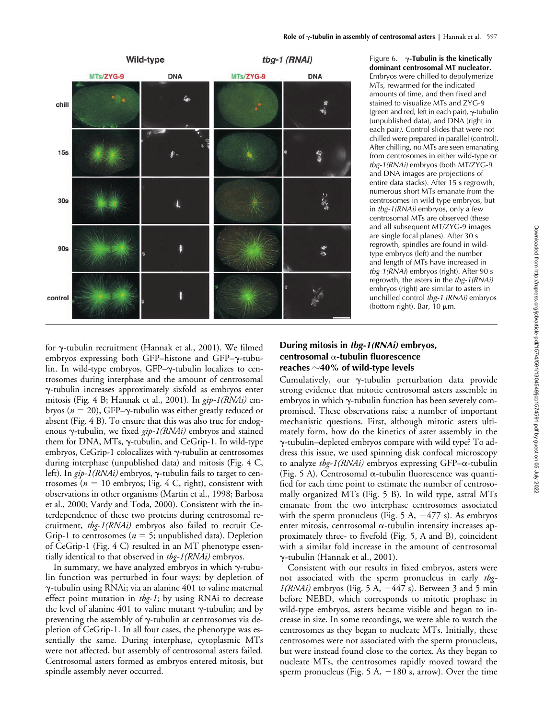

Figure 6.  $\gamma$ -**Tubulin is the kinetically dominant centrosomal MT nucleator.** Embryos were chilled to depolymerize MTs, rewarmed for the indicated amounts of time, and then fixed and stained to visualize MTs and ZYG-9 (green and red, left in each pair),  $\gamma$ -tubulin (unpublished data), and DNA (right in each pair*)*. Control slides that were not chilled were prepared in parallel (control). After chilling, no MTs are seen emanating from centrosomes in either wild-type or *tbg-1(RNAi)* embryos (both MT/ZYG-9 and DNA images are projections of entire data stacks). After 15 s regrowth, numerous short MTs emanate from the centrosomes in wild-type embryos, but in *tbg-1(RNAi)* embryos, only a few centrosomal MTs are observed (these and all subsequent MT/ZYG-9 images are single focal planes). After 30 s regrowth, spindles are found in wildtype embryos (left) and the number and length of MTs have increased in *tbg-1(RNAi*) embryos (right). After 90 s regrowth, the asters in the *tbg-1(RNAi)* embryos (right) are similar to asters in unchilled control *tbg-1 (RNAi)* embryos (bottom right). Bar,  $10 \mu m$ .

for γ-tubulin recruitment (Hannak et al., 2001). We filmed embryos expressing both GFP–histone and GFP– $\gamma$ -tubulin. In wild-type embryos, GFP-y-tubulin localizes to centrosomes during interphase and the amount of centrosomal --tubulin increases approximately sixfold as embryos enter mitosis (Fig. 4 B; Hannak et al., 2001). In *gip-1(RNAi)* embryos ( $n = 20$ ), GFP– $\gamma$ -tubulin was either greatly reduced or absent (Fig. 4 B). To ensure that this was also true for endogenous  $\gamma$ -tubulin, we fixed *gip-1(RNAi)* embryos and stained them for DNA, MTs,  $\gamma$ -tubulin, and CeGrip-1. In wild-type embryos, CeGrip-1 colocalizes with  $\gamma$ -tubulin at centrosomes during interphase (unpublished data) and mitosis (Fig. 4 C, left). In *gip-1(RNAi)* embryos, γ-tubulin fails to target to centrosomes ( $n = 10$  embryos; Fig. 4 C, right), consistent with observations in other organisms (Martin et al., 1998; Barbosa et al., 2000; Vardy and Toda, 2000). Consistent with the interdependence of these two proteins during centrosomal recruitment, *tbg-1(RNAi)* embryos also failed to recruit Ce-Grip-1 to centrosomes ( $n = 5$ ; unpublished data). Depletion of CeGrip-1 (Fig. 4 C) resulted in an MT phenotype essentially identical to that observed in *tbg-1(RNAi)* embryos.

In summary, we have analyzed embryos in which  $\gamma$ -tubulin function was perturbed in four ways: by depletion of --tubulin using RNAi; via an alanine 401 to valine maternal effect point mutation in *tbg-1*; by using RNAi to decrease the level of alanine  $401$  to valine mutant  $\gamma$ -tubulin; and by preventing the assembly of  $\gamma$ -tubulin at centrosomes via depletion of CeGrip-1. In all four cases, the phenotype was essentially the same. During interphase, cytoplasmic MTs were not affected, but assembly of centrosomal asters failed. Centrosomal asters formed as embryos entered mitosis, but spindle assembly never occurred.

## **During mitosis in** *tbg-1(RNAi)* **embryos, centrosomal -tubulin fluorescence reaches** -**40% of wild-type levels**

Cumulatively, our y-tubulin perturbation data provide strong evidence that mitotic centrosomal asters assemble in  $embryos$  in which  $\gamma$ -tubulin function has been severely compromised. These observations raise a number of important mechanistic questions. First, although mitotic asters ultimately form, how do the kinetics of aster assembly in the --tubulin–depleted embryos compare with wild type? To address this issue, we used spinning disk confocal microscopy to analyze  $tbg-1(RNAi)$  embryos expressing GFP- $\alpha$ -tubulin (Fig. 5 A). Centrosomal  $\alpha$ -tubulin fluorescence was quantified for each time point to estimate the number of centrosomally organized MTs (Fig. 5 B). In wild type, astral MTs emanate from the two interphase centrosomes associated with the sperm pronucleus (Fig.  $5 \text{ A}$ ,  $-477 \text{ s}$ ). As embryos enter mitosis, centrosomal  $\alpha$ -tubulin intensity increases approximately three- to fivefold (Fig. 5, A and B), coincident with a similar fold increase in the amount of centrosomal --tubulin (Hannak et al., 2001).

Consistent with our results in fixed embryos, asters were not associated with the sperm pronucleus in early *tbg-* $1(RNAi)$  embryos (Fig. 5 A,  $-447$  s). Between 3 and 5 min before NEBD, which corresponds to mitotic prophase in wild-type embryos, asters became visible and began to increase in size. In some recordings, we were able to watch the centrosomes as they began to nucleate MTs. Initially, these centrosomes were not associated with the sperm pronucleus, but were instead found close to the cortex. As they began to nucleate MTs, the centrosomes rapidly moved toward the sperm pronucleus (Fig.  $5 A$ ,  $-180 s$ , arrow). Over the time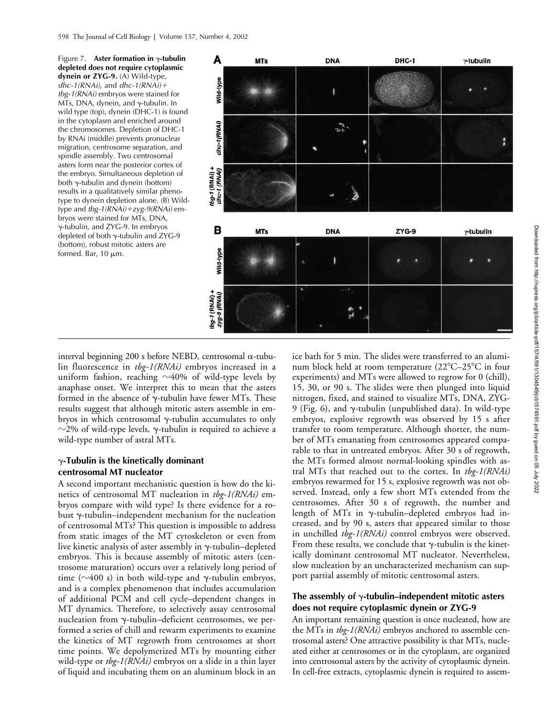

interval beginning 200 s before NEBD, centrosomal  $\alpha$ -tubulin fluorescence in *tbg-1(RNAi)* embryos increased in a uniform fashion, reaching  ${\sim}40\%$  of wild-type levels by anaphase onset. We interpret this to mean that the asters formed in the absence of  $\gamma$ -tubulin have fewer MTs. These results suggest that although mitotic asters assemble in embryos in which centrosomal  $\gamma$ -tubulin accumulates to only  $\sim$ 2% of wild-type levels,  $\gamma$ -tubulin is required to achieve a wild-type number of astral MTs.

#### $\gamma$ -Tubulin is the kinetically dominant **centrosomal MT nucleator**

A second important mechanistic question is how do the kinetics of centrosomal MT nucleation in *tbg-1(RNAi)* embryos compare with wild type? Is there evidence for a robust  $\gamma$ -tubulin–independent mechanism for the nucleation of centrosomal MTs? This question is impossible to address from static images of the MT cytoskeleton or even from live kinetic analysis of aster assembly in  $\gamma$ -tubulin–depleted embryos. This is because assembly of mitotic asters (centrosome maturation) occurs over a relatively long period of time ( $\sim$ 400 s) in both wild-type and  $\gamma$ -tubulin embryos, and is a complex phenomenon that includes accumulation of additional PCM and cell cycle–dependent changes in MT dynamics. Therefore, to selectively assay centrosomal nucleation from  $\gamma$ -tubulin-deficient centrosomes, we performed a series of chill and rewarm experiments to examine the kinetics of MT regrowth from centrosomes at short time points. We depolymerized MTs by mounting either wild-type or *tbg-1(RNAi)* embryos on a slide in a thin layer of liquid and incubating them on an aluminum block in an

ice bath for 5 min. The slides were transferred to an aluminum block held at room temperature (22°C–25°C in four experiments) and MTs were allowed to regrow for 0 (chill), 15, 30, or 90 s. The slides were then plunged into liquid nitrogen, fixed, and stained to visualize MTs, DNA, ZYG-9 (Fig. 6), and  $\gamma$ -tubulin (unpublished data). In wild-type embryos, explosive regrowth was observed by 15 s after transfer to room temperature. Although shorter, the number of MTs emanating from centrosomes appeared comparable to that in untreated embryos. After 30 s of regrowth, the MTs formed almost normal-looking spindles with astral MTs that reached out to the cortex. In *tbg-1(RNAi)* embryos rewarmed for 15 s, explosive regrowth was not observed. Instead, only a few short MTs extended from the centrosomes. After 30 s of regrowth, the number and length of MTs in  $\gamma$ -tubulin–depleted embryos had increased, and by 90 s, asters that appeared similar to those in unchilled *tbg-1(RNAi)* control embryos were observed. From these results, we conclude that  $\gamma$ -tubulin is the kinetically dominant centrosomal MT nucleator. Nevertheless, slow nucleation by an uncharacterized mechanism can support partial assembly of mitotic centrosomal asters.

#### The assembly of  $\gamma$ -tubulin–independent mitotic asters **does not require cytoplasmic dynein or ZYG-9**

An important remaining question is once nucleated, how are the MTs in *tbg-1(RNAi)* embryos anchored to assemble centrosomal asters? One attractive possibility is that MTs, nucleated either at centrosomes or in the cytoplasm, are organized into centrosomal asters by the activity of cytoplasmic dynein. In cell-free extracts, cytoplasmic dynein is required to assem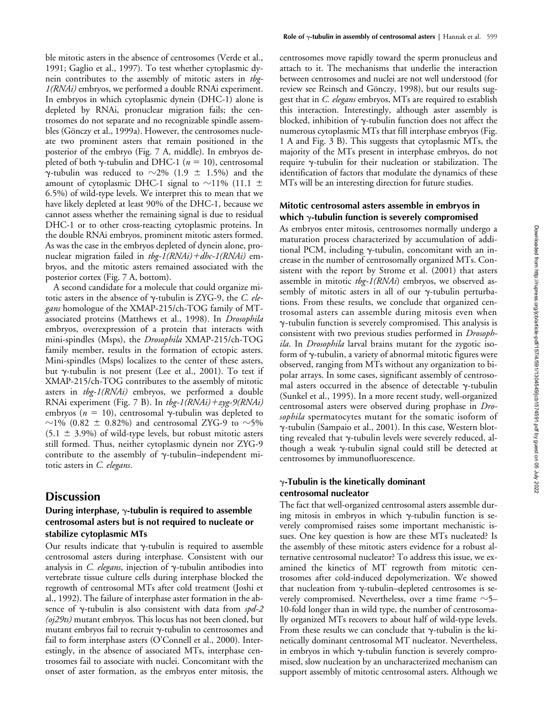ble mitotic asters in the absence of centrosomes (Verde et al., 1991; Gaglio et al., 1997). To test whether cytoplasmic dynein contributes to the assembly of mitotic asters in *tbg-1(RNAi)* embryos, we performed a double RNAi experiment. In embryos in which cytoplasmic dynein (DHC-1) alone is depleted by RNAi, pronuclear migration fails; the centrosomes do not separate and no recognizable spindle assembles (Gönczy et al., 1999a). However, the centrosomes nucleate two prominent asters that remain positioned in the posterior of the embryo (Fig. 7 A, middle). In embryos depleted of both  $\gamma$ -tubulin and DHC-1 ( $n = 10$ ), centrosomal  $\gamma$ -tubulin was reduced to  $\sim$ 2% (1.9  $\pm$  1.5%) and the amount of cytoplasmic DHC-1 signal to  $\sim$ 11% (11.1  $\pm$ 6.5%) of wild-type levels. We interpret this to mean that we have likely depleted at least 90% of the DHC-1, because we cannot assess whether the remaining signal is due to residual DHC-1 or to other cross-reacting cytoplasmic proteins. In the double RNAi embryos, prominent mitotic asters formed. As was the case in the embryos depleted of dynein alone, pronuclear migration failed in *tbg-1(RNAi)dhc-1(RNAi)* embryos, and the mitotic asters remained associated with the posterior cortex (Fig. 7 A, bottom).

A second candidate for a molecule that could organize mitotic asters in the absence of  $\gamma$ -tubulin is ZYG-9, the *C. elegans* homologue of the XMAP-215/ch-TOG family of MTassociated proteins (Matthews et al., 1998). In *Drosophila* embryos, overexpression of a protein that interacts with mini-spindles (Msps), the *Drosophila* XMAP-215/ch-TOG family member, results in the formation of ectopic asters. Mini-spindles (Msps) localizes to the center of these asters, but  $\gamma$ -tubulin is not present (Lee et al., 2001). To test if XMAP-215/ch-TOG contributes to the assembly of mitotic asters in *tbg-1(RNAi)* embryos, we performed a double RNAi experiment (Fig. 7 B). In *tbg-1(RNAi)zyg-9(RNAi)* embryos ( $n = 10$ ), centrosomal  $\gamma$ -tubulin was depleted to  $\sim$ 1% (0.82  $\pm$  0.82%) and centrosomal ZYG-9 to  $\sim$ 5%  $(5.1 \pm 3.9\%)$  of wild-type levels, but robust mitotic asters still formed. Thus, neither cytoplasmic dynein nor ZYG-9 contribute to the assembly of  $\gamma$ -tubulin-independent mitotic asters in *C. elegans*.

## **Discussion**

## **During interphase,**  $\gamma$ **-tubulin is required to assemble centrosomal asters but is not required to nucleate or stabilize cytoplasmic MTs**

Our results indicate that  $\gamma$ -tubulin is required to assemble centrosomal asters during interphase. Consistent with our analysis in *C. elegans*, injection of  $\gamma$ -tubulin antibodies into vertebrate tissue culture cells during interphase blocked the regrowth of centrosomal MTs after cold treatment (Joshi et al., 1992). The failure of interphase aster formation in the absence of γ-tubulin is also consistent with data from *spd-2 (oj29ts)* mutant embryos. This locus has not been cloned, but mutant embryos fail to recruit  $\gamma$ -tubulin to centrosomes and fail to form interphase asters (O'Connell et al., 2000). Interestingly, in the absence of associated MTs, interphase centrosomes fail to associate with nuclei. Concomitant with the onset of aster formation, as the embryos enter mitosis, the centrosomes move rapidly toward the sperm pronucleus and attach to it. The mechanisms that underlie the interaction between centrosomes and nuclei are not well understood (for review see Reinsch and Gönczy, 1998), but our results suggest that in *C. elegans* embryos, MTs are required to establish this interaction. Interestingly, although aster assembly is blocked, inhibition of  $\gamma$ -tubulin function does not affect the numerous cytoplasmic MTs that fill interphase embryos (Fig. 1 A and Fig. 3 B). This suggests that cytoplasmic MTs, the majority of the MTs present in interphase embryos, do not require y-tubulin for their nucleation or stabilization. The identification of factors that modulate the dynamics of these MTs will be an interesting direction for future studies.

### **Mitotic centrosomal asters assemble in embryos in**  which  $\gamma$ -tubulin function is severely compromised

As embryos enter mitosis, centrosomes normally undergo a maturation process characterized by accumulation of additional PCM, including y-tubulin, concomitant with an increase in the number of centrosomally organized MTs. Consistent with the report by Strome et al. (2001) that asters assemble in mitotic *tbg-1(RNAi*) embryos, we observed assembly of mitotic asters in all of our  $\gamma$ -tubulin perturbations. From these results, we conclude that organized centrosomal asters can assemble during mitosis even when  $\gamma$ -tubulin function is severely compromised. This analysis is consistent with two previous studies performed in *Drosophila*. In *Drosophila* larval brains mutant for the zygotic isoform of  $\gamma$ -tubulin, a variety of abnormal mitotic figures were observed, ranging from MTs without any organization to bipolar arrays. In some cases, significant assembly of centrosomal asters occurred in the absence of detectable  $\gamma$ -tubulin (Sunkel et al., 1995). In a more recent study, well-organized centrosomal asters were observed during prophase in *Drosophila* spermatocytes mutant for the somatic isoform of --tubulin (Sampaio et al., 2001). In this case, Western blotting revealed that  $\gamma$ -tubulin levels were severely reduced, although a weak  $\gamma$ -tubulin signal could still be detected at centrosomes by immunofluorescence.

#### $\gamma$ -Tubulin is the kinetically dominant **centrosomal nucleator**

The fact that well-organized centrosomal asters assemble during mitosis in embryos in which  $\gamma$ -tubulin function is severely compromised raises some important mechanistic issues. One key question is how are these MTs nucleated? Is the assembly of these mitotic asters evidence for a robust alternative centrosomal nucleator? To address this issue, we examined the kinetics of MT regrowth from mitotic centrosomes after cold-induced depolymerization. We showed that nucleation from  $\gamma$ -tubulin–depleted centrosomes is severely compromised. Nevertheless, over a time frame  $\sim$ 5– 10-fold longer than in wild type, the number of centrosomally organized MTs recovers to about half of wild-type levels. From these results we can conclude that  $\gamma$ -tubulin is the kinetically dominant centrosomal MT nucleator. Nevertheless, in embryos in which  $\gamma$ -tubulin function is severely compromised, slow nucleation by an uncharacterized mechanism can support assembly of mitotic centrosomal asters. Although we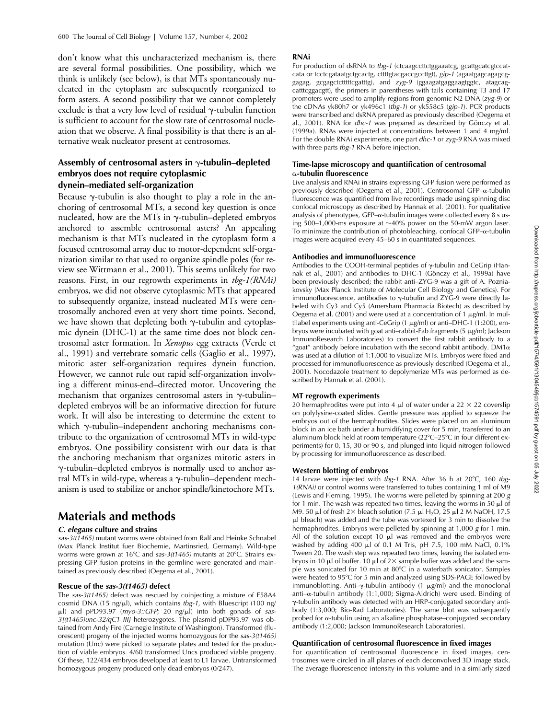don't know what this uncharacterized mechanism is, there are several formal possibilities. One possibility, which we think is unlikely (see below), is that MTs spontaneously nucleated in the cytoplasm are subsequently reorganized to form asters. A second possibility that we cannot completely exclude is that a very low level of residual  $\gamma$ -tubulin function is sufficient to account for the slow rate of centrosomal nucleation that we observe. A final possibility is that there is an alternative weak nucleator present at centrosomes.

### Assembly of centrosomal asters in  $\gamma$ -tubulin–depleted **embryos does not require cytoplasmic dynein–mediated self-organization**

Because  $\gamma$ -tubulin is also thought to play a role in the anchoring of centrosomal MTs, a second key question is once nucleated, how are the MTs in  $\gamma$ -tubulin-depleted embryos anchored to assemble centrosomal asters? An appealing mechanism is that MTs nucleated in the cytoplasm form a focused centrosomal array due to motor-dependent self-organization similar to that used to organize spindle poles (for review see Wittmann et al., 2001). This seems unlikely for two reasons. First, in our regrowth experiments in *tbg-1(RNAi)* embryos, we did not observe cytoplasmic MTs that appeared to subsequently organize, instead nucleated MTs were centrosomally anchored even at very short time points. Second, we have shown that depleting both  $\gamma$ -tubulin and cytoplasmic dynein (DHC-1) at the same time does not block centrosomal aster formation. In *Xenopus* egg extracts (Verde et al., 1991) and vertebrate somatic cells (Gaglio et al., 1997), mitotic aster self-organization requires dynein function. However, we cannot rule out rapid self-organization involving a different minus-end–directed motor. Uncovering the mechanism that organizes centrosomal asters in  $\gamma$ -tubulin– depleted embryos will be an informative direction for future work. It will also be interesting to determine the extent to which y-tubulin-independent anchoring mechanisms contribute to the organization of centrosomal MTs in wild-type embryos. One possibility consistent with our data is that the anchoring mechanism that organizes mitotic asters in --tubulin–depleted embryos is normally used to anchor astral MTs in wild-type, whereas a  $\gamma$ -tubulin-dependent mechanism is used to stabilize or anchor spindle/kinetochore MTs.

# **Materials and methods**

#### *C. elegans* **culture and strains**

*sas-3(t1465)* mutant worms were obtained from Ralf and Heinke Schnabel (Max Planck Institut fuer Biochemie, Martinsried, Germany). Wild-type worms were grown at 16°C and sas-3(t1465) mutants at 20°C. Strains expressing GFP fusion proteins in the germline were generated and maintained as previously described (Oegema et al., 2001).

#### **Rescue of the** *sas-3(t1465)* **defect**

The *sas-3(t1465)* defect was rescued by coinjecting a mixture of F58A4 cosmid DNA (15 ng/µl), which contains *tbg-1*, with Bluescript (100 ng/ ul) and pPD93.97 (*myo-3::GFP*; 20 ng/ul) into both gonads of sas-*3[(t1465)unc-32/qC1 III]* heterozygotes. The plasmid pDP93.97 was obtained from Andy Fire (Carnegie Institute of Washington). Transformed (fluorescent) progeny of the injected worms homozygous for the *sas-3(t1465)* mutation (Unc) were picked to separate plates and tested for the production of viable embryos. 4/60 transformed Uncs produced viable progeny. Of these, 122/434 embryos developed at least to L1 larvae. Untransformed homozygous progeny produced only dead embryos (0/247).

#### **RNAi**

For production of dsRNA to tbg-1 (ctcaagccttctggaaatcg, gcattgcatcgtccatcata or tcctcgataatgctgcactg, cttttgtacgaccgccttgt), *gip-1* (agaatgagcagagcggagag, gcgagctctttttcgatttg), and *zyg-9* (ggaagatgaggaagtggtc, atagcagcatttcggacgtt), the primers in parentheses with tails containing T3 and T7 promoters were used to amplify regions from genomic N2 DNA (*zyg-9*) or the cDNAs yk80h7 or yk496c1 (*tbg-1*) or yk558c5 (*gip-1*). PCR products were transcribed and dsRNA prepared as previously described (Oegema et al., 2001). RNA for *dhc-1* was prepared as described by Gönczy et al. (1999a). RNAs were injected at concentrations between 1 and 4 mg/ml. For the double RNAi experiments, one part *dhc-1* or *zyg-9* RNA was mixed with three parts *tbg-1* RNA before injection.

#### **Time-lapse microscopy and quantification of centrosomal -tubulin fluorescence**

Live analysis and RNAi in strains expressing GFP fusion were performed as previously described (Oegema et al., 2001). Centrosomal GFP- $\alpha$ -tubulin fluorescence was quantified from live recordings made using spinning disc confocal microscopy as described by Hannak et al. (2001). For qualitative analysis of phenotypes, GFP- $\alpha$ -tubulin images were collected every 8 s using 500–1,000-ms exposure at  $\sim$ 40% power on the 50-mW argon laser. To minimize the contribution of photobleaching, confocal GFP- $\alpha$ -tubulin images were acquired every 45–60 s in quantitated sequences.

#### **Antibodies and immunofluorescence**

Antibodies to the COOH-terminal peptides of  $\gamma$ -tubulin and CeGrip (Hannak et al., 2001) and antibodies to DHC-1 (Gönczy et al., 1999a) have been previously described; the rabbit anti–ZYG-9 was a gift of A. Pozniakovsky (Max Planck Institute of Molecular Cell Biology and Genetics). For immunofluorescence, antibodies to  $\gamma$ -tubulin and ZYG-9 were directly labeled with Cy3 and Cy5 (Amersham Pharmacia Biotech) as described by Oegema et al. (2001) and were used at a concentration of 1  $\mu$ g/ml. In multilabel experiments using anti-CeGrip  $(1 \mu g/ml)$  or anti-DHC-1  $(1:200)$ , embryos were incubated with goat anti-rabbit-Fab fragments (5  $\mu$ g/ml; Jackson ImmunoResearch Laboratories) to convert the first rabbit antibody to a "goat" antibody before incubation with the second rabbit antibody.  $DM1\alpha$ was used at a dilution of 1:1,000 to visualize MTs. Embryos were fixed and processed for immunofluorescence as previously described (Oegema et al., 2001). Nocodazole treatment to depolymerize MTs was performed as described by Hannak et al. (2001).

#### **MT regrowth experiments**

20 hermaphrodites were put into 4  $\mu$ l of water under a 22  $\times$  22 coverslip on polylysine-coated slides. Gentle pressure was applied to squeeze the embryos out of the hermaphrodites. Slides were placed on an aluminum block in an ice bath under a humidifying cover for 5 min, transferred to an aluminum block held at room temperature (22°C–25°C in four different experiments) for 0, 15, 30 or 90 s, and plunged into liquid nitrogen followed by processing for immunofluorescence as described.

#### **Western blotting of embryos**

L4 larvae were injected with *tbg-1* RNA. After 36 h at 20°C, 160 *tbg-1(RNAi)* or control worms were transferred to tubes containing 1 ml of M9 (Lewis and Fleming, 1995). The worms were pelleted by spinning at 200 *g* for 1 min. The wash was repeated two times, leaving the worms in 50  $\mu$ l of M9. 50 µl of fresh 2 $\times$  bleach solution (7.5 µl H<sub>2</sub>O, 25 µl 2 M NaOH, 17.5 l bleach) was added and the tube was vortexed for 3 min to dissolve the hermaphrodites. Embryos were pelleted by spinning at 1,000 *g* for 1 min. All of the solution except 10  $\mu$ l was removed and the embryos were washed by adding 400  $\mu$ l of 0.1 M Tris, pH 7.5, 100 mM NaCl, 0.1% Tween 20. The wash step was repeated two times, leaving the isolated embryos in 10  $\mu$  of buffer. 10  $\mu$  of 2 $\times$  sample buffer was added and the sample was sonicated for 10 min at 80C in a waterbath sonicator. Samples were heated to 95°C for 5 min and analyzed using SDS-PAGE followed by immunoblotting. Anti- $\gamma$ -tubulin antibody (1  $\mu$ g/ml) and the monoclonal anti- $\alpha$ -tubulin antibody (1:1,000; Sigma-Aldrich) were used. Binding of --tubulin antibody was detected with an HRP-conjugated secondary antibody (1:3,000; Bio-Rad Laboratories). The same blot was subsequently probed for  $\alpha$ -tubulin using an alkaline phosphatase–conjugated secondary antibody (1:2,000; Jackson ImmunoResearch Laboratories).

#### **Quantification of centrosomal fluorescence in fixed images**

For quantification of centrosomal fluorescence in fixed images, centrosomes were circled in all planes of each deconvolved 3D image stack. The average fluorescence intensity in this volume and in a similarly sized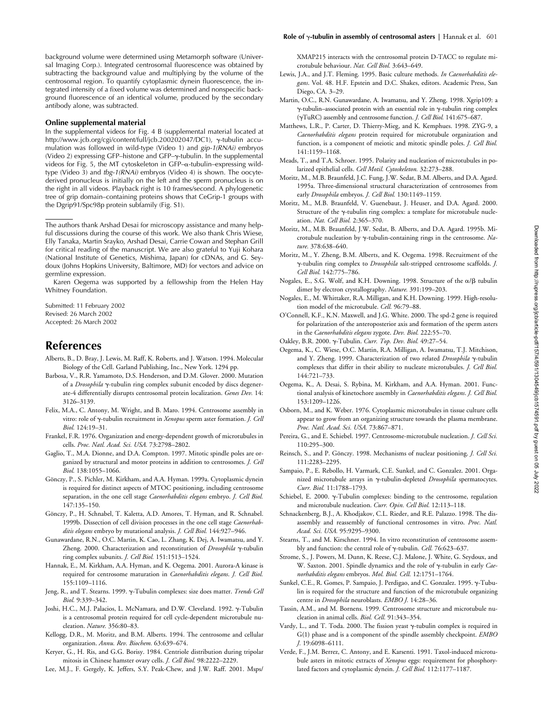background volume were determined using Metamorph software (Universal Imaging Corp.). Integrated centrosomal fluorescence was obtained by subtracting the background value and multiplying by the volume of the centrosomal region. To quantify cytoplasmic dynein fluorescence, the integrated intensity of a fixed volume was determined and nonspecific background fluorescence of an identical volume, produced by the secondary antibody alone, was subtracted.

#### **Online supplemental material**

In the supplemental videos for Fig. 4 B (supplemental material located at http://www.jcb.org/cgi/content/full/jcb.200202047/DC1), γ-tubulin accumulation was followed in wild-type (Video 1) and *gip-1(RNAi)* embryos (Video 2) expressing GFP–histone and GFP– $\gamma$ -tubulin. In the supplemental videos for Fig. 5, the MT cytoskeleton in GFP- $\alpha$ -tubulin–expressing wildtype (Video 3) and *tbg-1(RNAi)* embryos (Video 4) is shown. The oocytederived pronucleus is initially on the left and the sperm pronucleus is on the right in all videos. Playback right is 10 frames/second. A phylogenetic tree of grip domain–containing proteins shows that CeGrip-1 groups with the Dgrip91/Spc98p protein subfamily (Fig. S1).

The authors thank Arshad Desai for microscopy assistance and many helpful discussions during the course of this work. We also thank Chris Wiese, Elly Tanaka, Martin Srayko, Arshad Desai, Carrie Cowan and Stephan Grill for critical reading of the manuscript. We are also grateful to Yuji Kohara (National Institute of Genetics, Mishima, Japan) for cDNAs, and G. Seydoux (Johns Hopkins University, Baltimore, MD) for vectors and advice on germline expression.

Karen Oegema was supported by a fellowship from the Helen Hay Whitney Foundation.

Submitted: 11 February 2002 Revised: 26 March 2002 Accepted: 26 March 2002

#### **References**

- Alberts, B., D. Bray, J. Lewis, M. Raff, K. Roberts, and J. Watson. 1994. Molecular Biology of the Cell. Garland Publishing, Inc., New York. 1294 pp.
- Barbosa, V., R.R. Yamamoto, D.S. Henderson, and D.M. Glover. 2000. Mutation of a *Drosophila*  $\gamma$ -tubulin ring complex subunit encoded by discs degenerate-4 differentially disrupts centrosomal protein localization. *Genes Dev.* 14: 3126–3139.
- Felix, M.A., C. Antony, M. Wright, and B. Maro. 1994. Centrosome assembly in vitro: role of  $\gamma$ -tubulin recruitment in *Xenopus* sperm aster formation. *J. Cell Biol.* 124:19–31.
- Frankel, F.R. 1976. Organization and energy-dependent growth of microtubules in cells. *Proc. Natl. Acad. Sci. USA.* 73:2798–2802.
- Gaglio, T., M.A. Dionne, and D.A. Compton. 1997. Mitotic spindle poles are organized by structural and motor proteins in addition to centrosomes. *J. Cell Biol.* 138:1055–1066.
- Gönczy, P., S. Pichler, M. Kirkham, and A.A. Hyman. 1999a. Cytoplasmic dynein is required for distinct aspects of MTOC positioning, including centrosome separation, in the one cell stage *Caenorhabditis elegans* embryo. *J. Cell Biol.* 147:135–150.
- Gönczy, P., H. Schnabel, T. Kaletta, A.D. Amores, T. Hyman, and R. Schnabel. 1999b. Dissection of cell division processes in the one cell stage *Caenorhabditis elegans* embryo by mutational analysis. *J. Cell Biol.* 144:927–946.
- Gunawardane, R.N., O.C. Martin, K. Cao, L. Zhang, K. Dej, A. Iwamatsu, and Y. Zheng. 2000. Characterization and reconstitution of *Drosophila* y-tubulin ring complex subunits. *J. Cell Biol.* 151:1513–1524.
- Hannak, E., M. Kirkham, A.A. Hyman, and K. Oegema. 2001. Aurora-A kinase is required for centrosome maturation in *Caenorhabditis elegans*. *J. Cell Biol.* 155:1109–1116.
- Jeng, R., and T. Stearns. 1999.  $\gamma$ -Tubulin complexes: size does matter. *Trends Cell Biol.* 9:339–342.
- Joshi, H.C., M.J. Palacios, L. McNamara, and D.W. Cleveland. 1992. y-Tubulin is a centrosomal protein required for cell cycle-dependent microtubule nucleation. *Nature.* 356:80–83.
- Kellogg, D.R., M. Moritz, and B.M. Alberts. 1994. The centrosome and cellular organization. *Annu. Rev. Biochem.* 63:639–674.
- Keryer, G., H. Ris, and G.G. Borisy. 1984. Centriole distribution during tripolar mitosis in Chinese hamster ovary cells. *J. Cell Biol.* 98:2222–2229.
- Lee, M.J., F. Gergely, K. Jeffers, S.Y. Peak-Chew, and J.W. Raff. 2001. Msps/

XMAP215 interacts with the centrosomal protein D-TACC to regulate microtubule behaviour. *Nat. Cell Biol.* 3:643–649.

- Lewis, J.A., and J.T. Fleming. 1995. Basic culture methods. *In Caenorhabditis elegans*. Vol. 48. H.F. Epstein and D.C. Shakes, editors. Academic Press, San Diego, CA. 3–29.
- Martin, O.C., R.N. Gunawardane, A. Iwamatsu, and Y. Zheng. 1998. Xgrip109: a  $\gamma$ -tubulin–associated protein with an essential role in  $\gamma$ -tubulin ring complex (γTuRC) assembly and centrosome function. *J. Cell Biol.* 141:675-687.
- Matthews, L.R., P. Carter, D. Thierry-Mieg, and K. Kemphues. 1998. ZYG-9, a *Caenorhabditis elegans* protein required for microtubule organization and function, is a component of meiotic and mitotic spindle poles. *J. Cell Biol.* 141:1159–1168.
- Meads, T., and T.A. Schroer. 1995. Polarity and nucleation of microtubules in polarized epithelial cells. *Cell Motil. Cytoskeleton.* 32:273–288.
- Moritz, M., M.B. Braunfeld, J.C. Fung, J.W. Sedat, B.M. Alberts, and D.A. Agard. 1995a. Three-dimensional structural characterization of centrosomes from early *Drosophila* embryos. *J. Cell Biol.* 130:1149–1159.
- Moritz, M., M.B. Braunfeld, V. Guenebaut, J. Heuser, and D.A. Agard. 2000. Structure of the  $\gamma$ -tubulin ring complex: a template for microtubule nucleation. *Nat. Cell Biol.* 2:365–370.
- Moritz, M., M.B. Braunfeld, J.W. Sedat, B. Alberts, and D.A. Agard. 1995b. Microtubule nucleation by  $\gamma$ -tubulin-containing rings in the centrosome. Na*ture.* 378:638–640.
- Moritz, M., Y. Zheng, B.M. Alberts, and K. Oegema. 1998. Recruitment of the --tubulin ring complex to *Drosophila* salt-stripped centrosome scaffolds. *J. Cell Biol.* 142:775–786.
- Nogales, E., S.G. Wolf, and K.H. Downing. 1998. Structure of the  $\alpha/\beta$  tubulin dimer by electron crystallography. *Nature.* 391:199–203.
- Nogales, E., M. Whittaker, R.A. Milligan, and K.H. Downing. 1999. High-resolution model of the microtubule. *Cell.* 96:79–88.
- O'Connell, K.F., K.N. Maxwell, and J.G. White. 2000. The spd-2 gene is required for polarization of the anteroposterior axis and formation of the sperm asters in the *Caenorhabditis elegans* zygote. *Dev. Biol.* 222:55–70.
- Oakley, B.R. 2000. γ-Tubulin. Curr. Top. Dev. Biol. 49:27-54.
- Oegema, K., C. Wiese, O.C. Martin, R.A. Milligan, A. Iwamatsu, T.J. Mitchison, and Y. Zheng. 1999. Characterization of two related *Drosophila* y-tubulin complexes that differ in their ability to nucleate microtubules. *J. Cell Biol.* 144:721–733.
- Oegema, K., A. Desai, S. Rybina, M. Kirkham, and A.A. Hyman. 2001. Functional analysis of kinetochore assembly in *Caenorhabditis elegans*. *J. Cell Biol.* 153:1209–1226.
- Osborn, M., and K. Weber. 1976. Cytoplasmic microtubules in tissue culture cells appear to grow from an organizing structure towards the plasma membrane. *Proc. Natl. Acad. Sci. USA.* 73:867–871.
- Pereira, G., and E. Schiebel. 1997. Centrosome-microtubule nucleation. *J. Cell Sci.* 110:295–300.
- Reinsch, S., and P. Gönczy. 1998. Mechanisms of nuclear positioning. *J. Cell Sci.* 111:2283–2295.
- Sampaio, P., E. Rebollo, H. Varmark, C.E. Sunkel, and C. Gonzalez. 2001. Organized microtubule arrays in y-tubulin-depleted *Drosophila* spermatocytes. *Curr. Biol.* 11:1788–1793.
- Schiebel, E. 2000.  $\gamma$ -Tubulin complexes: binding to the centrosome, regulation and microtubule nucleation. *Curr. Opin. Cell Biol.* 12:113–118.
- Schnackenberg, B.J., A. Khodjakov, C.L. Rieder, and R.E. Palazzo. 1998. The disassembly and reassembly of functional centrosomes in vitro. *Proc. Natl. Acad. Sci. USA.* 95:9295–9300.
- Stearns, T., and M. Kirschner. 1994. In vitro reconstitution of centrosome assembly and function: the central role of γ-tubulin. *Cell.* 76:623–637.
- Strome, S., J. Powers, M. Dunn, K. Reese, C.J. Malone, J. White, G. Seydoux, and W. Saxton. 2001. Spindle dynamics and the role of  $\gamma$ -tubulin in early *Caenorhabditis elegans* embryos. *Mol. Biol. Cell.* 12:1751–1764.
- Sunkel, C.E., R. Gomes, P. Sampaio, J. Perdigao, and C. Gonzalez. 1995. y-Tubulin is required for the structure and function of the microtubule organizing centre in *Drosophila* neuroblasts. *EMBO J.* 14:28–36.
- Tassin, A.M., and M. Bornens. 1999. Centrosome structure and microtubule nucleation in animal cells. *Biol. Cell.* 91:343–354.
- Vardy, L., and T. Toda. 2000. The fission yeast  $\gamma$ -tubulin complex is required in G(1) phase and is a component of the spindle assembly checkpoint. *EMBO J.* 19:6098–6111.
- Verde, F., J.M. Berrez, C. Antony, and E. Karsenti. 1991. Taxol-induced microtubule asters in mitotic extracts of *Xenopus* eggs: requirement for phosphorylated factors and cytoplasmic dynein. *J. Cell Biol.* 112:1177–1187.